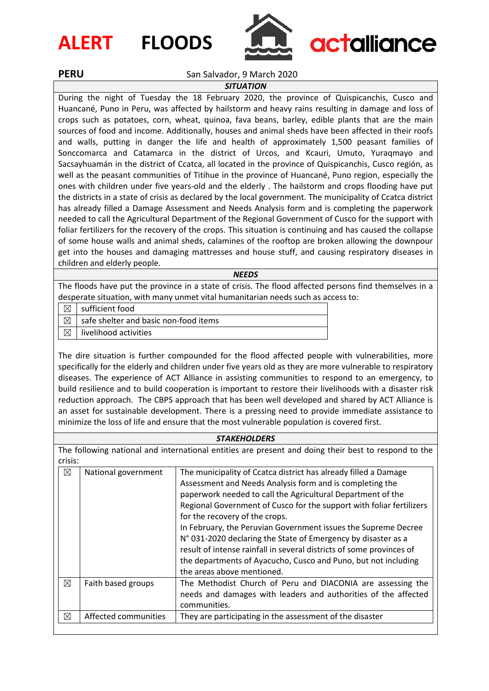## **ALERT FLOODS**



# actalliance

### **PERU** San Salvador, 9 March 2020

#### *SITUATION*

During the night of Tuesday the 18 February 2020, the province of Quispicanchis, Cusco and Huancané, Puno in Peru, was affected by hailstorm and heavy rains resulting in damage and loss of crops such as potatoes, corn, wheat, quinoa, fava beans, barley, edible plants that are the main sources of food and income. Additionally, houses and animal sheds have been affected in their roofs and walls, putting in danger the life and health of approximately 1,500 peasant families of Sonccomarca and Catamarca in the district of Urcos, and Kcauri, Umuto, Yuraqmayo and Sacsayhuamán in the district of Ccatca, all located in the province of Quispicanchis, Cusco región, as well as the peasant communities of Titihue in the province of Huancané, Puno region, especially the ones with children under five years-old and the elderly . The hailstorm and crops flooding have put the districts in a state of crisis as declared by the local government. The municipality of Ccatca district has already filled a Damage Assessment and Needs Analysis form and is completing the paperwork needed to call the Agricultural Department of the Regional Government of Cusco for the support with foliar fertilizers for the recovery of the crops. This situation is continuing and has caused the collapse of some house walls and animal sheds, calamines of the rooftop are broken allowing the downpour get into the houses and damaging mattresses and house stuff, and causing respiratory diseases in children and elderly people.

#### *NEEDS*

The floods have put the province in a state of crisis. The flood affected persons find themselves in a desperate situation, with many unmet vital humanitarian needs such as access to:

 $\boxtimes$  sufficient food

 $\boxtimes$  safe shelter and basic non-food items

 $\boxtimes$  | livelihood activities

The dire situation is further compounded for the flood affected people with vulnerabilities, more specifically for the elderly and children under five years old as they are more vulnerable to respiratory diseases. The experience of ACT Alliance in assisting communities to respond to an emergency, to build resilience and to build cooperation is important to restore their livelihoods with a disaster risk reduction approach. The CBPS approach that has been well developed and shared by ACT Alliance is an asset for sustainable development. There is a pressing need to provide immediate assistance to minimize the loss of life and ensure that the most vulnerable population is covered first.

#### *STAKEHOLDERS*

The following national and international entities are present and doing their best to respond to the crisis:

| ⊠           | National government  | The municipality of Ccatca district has already filled a Damage<br>Assessment and Needs Analysis form and is completing the<br>paperwork needed to call the Agricultural Department of the<br>Regional Government of Cusco for the support with foliar fertilizers<br>for the recovery of the crops.<br>In February, the Peruvian Government issues the Supreme Decree<br>N° 031-2020 declaring the State of Emergency by disaster as a<br>result of intense rainfall in several districts of some provinces of<br>the departments of Ayacucho, Cusco and Puno, but not including<br>the areas above mentioned. |
|-------------|----------------------|-----------------------------------------------------------------------------------------------------------------------------------------------------------------------------------------------------------------------------------------------------------------------------------------------------------------------------------------------------------------------------------------------------------------------------------------------------------------------------------------------------------------------------------------------------------------------------------------------------------------|
| $\boxtimes$ | Faith based groups   | The Methodist Church of Peru and DIACONIA are assessing the<br>needs and damages with leaders and authorities of the affected<br>communities.                                                                                                                                                                                                                                                                                                                                                                                                                                                                   |
| ⊠           | Affected communities | They are participating in the assessment of the disaster                                                                                                                                                                                                                                                                                                                                                                                                                                                                                                                                                        |